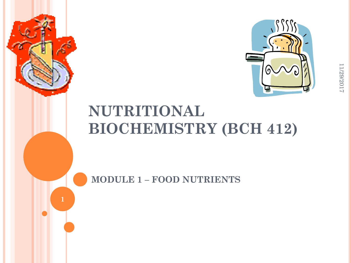

# **NUTRITIONAL BIOCHEMISTRY (BCH 412)**

**MODULE 1 – FOOD NUTRIENTS**

**1**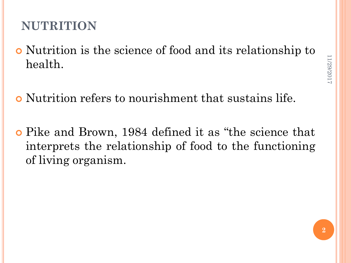#### **NUTRITION**

- Nutrition is the science of food and its relationship to health.
- Nutrition refers to nourishment that sustains life.
- Pike and Brown, 1984 defined it as "the science that interprets the relationship of food to the functioning of living organism.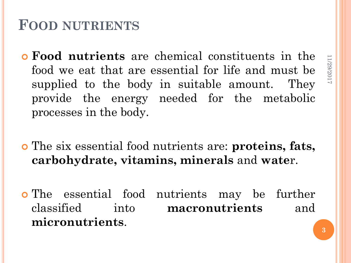## **FOOD NUTRIENTS**

- **Food nutrients** are chemical constituents in the food we eat that are essential for life and must be supplied to the body in suitable amount. They provide the energy needed for the metabolic processes in the body.
- The six essential food nutrients are: **proteins, fats, carbohydrate, vitamins, minerals** and **wate**r.
- The essential food nutrients may be further classified into **macronutrients** and **micronutrients**.

11/29/2017

11/29/2017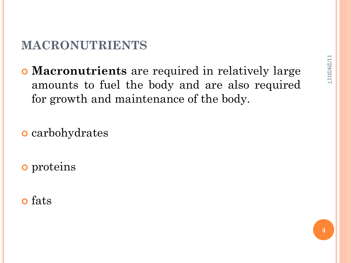#### **MACRONUTRIENTS**

 **Macronutrients** are required in relatively large amounts to fuel the body and are also required for growth and maintenance of the body.

**o** carbohydrates

**o** proteins

o fats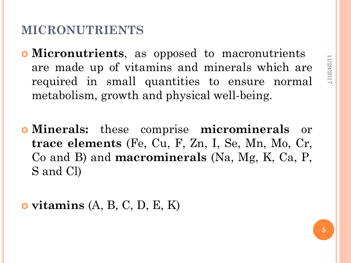#### **MICRONUTRIENTS**

- **Micronutrients**, as opposed to macronutrients are made up of vitamins and minerals which are required in small quantities to ensure normal metabolism, growth and physical well-being.
- **Minerals:** these comprise **microminerals** or **trace elements** (Fe, Cu, F, Zn, I, Se, Mn, Mo, Cr, Co and B) and **macrominerals** (Na, Mg, K, Ca, P, S and Cl)

**vitamins** (A, B, C, D, E, K)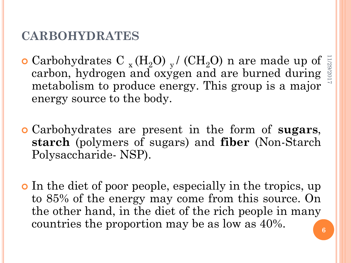#### **CARBOHYDRATES**

- $\bullet$  Carbohydrates C  $_{x}$  (H<sub>2</sub>O)  $_{y}$  / (CH<sub>2</sub>O) n are made up of carbon, hydrogen and oxygen and are burned during metabolism to produce energy. This group is a major energy source to the body. 11/29/2017
- Carbohydrates are present in the form of **sugars**, **starch** (polymers of sugars) and **fiber** (Non-Starch Polysaccharide- NSP).
- In the diet of poor people, especially in the tropics, up to 85% of the energy may come from this source. On the other hand, in the diet of the rich people in many countries the proportion may be as low as 40%.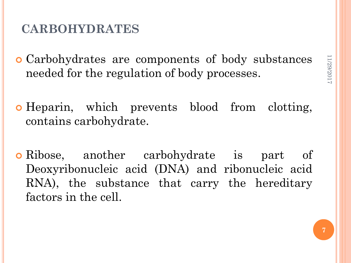#### **CARBOHYDRATES**

- Carbohydrates are components of body substances needed for the regulation of body processes.
- Heparin, which prevents blood from clotting, contains carbohydrate.
- **o** Ribose, another carbohydrate is part of Deoxyribonucleic acid (DNA) and ribonucleic acid RNA), the substance that carry the hereditary factors in the cell.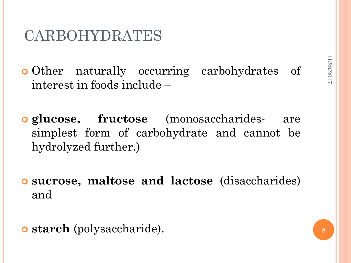# CARBOHYDRATES

o Other naturally occurring carbohydrates of interest in foods include –

 **glucose, fructose** (monosaccharides- are simplest form of carbohydrate and cannot be hydrolyzed further.)

 **sucrose, maltose and lactose** (disaccharides) and

**starch** (polysaccharide).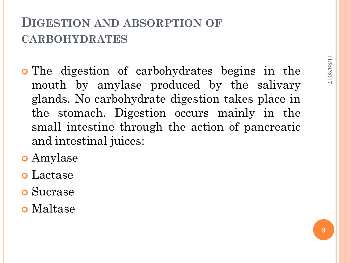### **DIGESTION AND ABSORPTION OF CARBOHYDRATES**

- The digestion of carbohydrates begins in the mouth by amylase produced by the salivary glands. No carbohydrate digestion takes place in the stomach. Digestion occurs mainly in the small intestine through the action of pancreatic and intestinal juices:
- Amylase
- Lactase
- Sucrase
- Maltase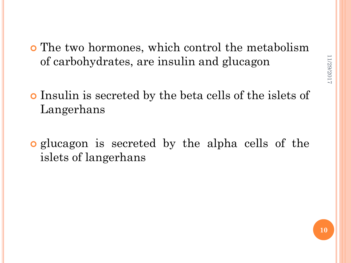- The two hormones, which control the metabolism of carbohydrates, are insulin and glucagon
- Insulin is secreted by the beta cells of the islets of Langerhans
- glucagon is secreted by the alpha cells of the islets of langerhans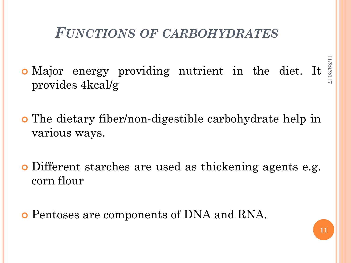### *FUNCTIONS OF CARBOHYDRATES*

11/29/2017 1/29/201 Major energy providing nutrient in the diet. It provides 4kcal/g

 The dietary fiber/non-digestible carbohydrate help in various ways.

 Different starches are used as thickening agents e.g. corn flour

Pentoses are components of DNA and RNA.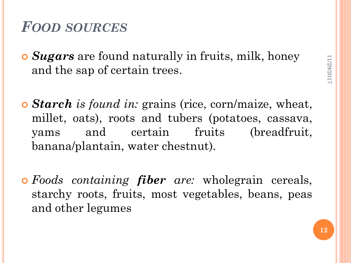### *FOOD SOURCES*

- *Sugars* are found naturally in fruits, milk, honey and the sap of certain trees.
- *Starch is found in:* grains (rice, corn/maize, wheat, millet, oats), roots and tubers (potatoes, cassava, yams and certain fruits (breadfruit, banana/plantain, water chestnut).
- *Foods containing fiber are:* wholegrain cereals, starchy roots, fruits, most vegetables, beans, peas and other legumes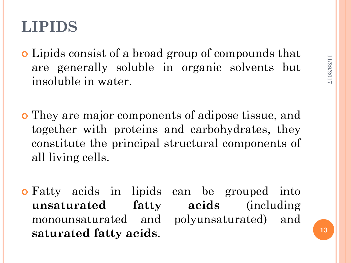# **LIPIDS**

- Lipids consist of a broad group of compounds that are generally soluble in organic solvents but insoluble in water.
- They are major components of adipose tissue, and together with proteins and carbohydrates, they constitute the principal structural components of all living cells.
- Fatty acids in lipids can be grouped into **unsaturated fatty acids** (including monounsaturated and polyunsaturated) and **saturated fatty acids**.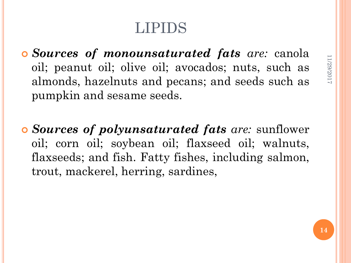# LIPIDS

 *Sources of monounsaturated fats are:* canola oil; peanut oil; olive oil; avocados; nuts, such as almonds, hazelnuts and pecans; and seeds such as pumpkin and sesame seeds.

 *Sources of polyunsaturated fats are:* sunflower oil; corn oil; soybean oil; flaxseed oil; walnuts, flaxseeds; and fish. Fatty fishes, including salmon, trout, mackerel, herring, sardines,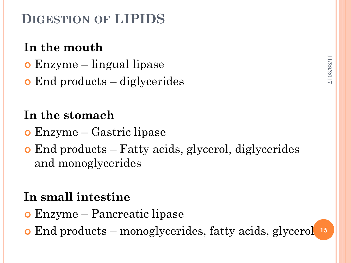## **DIGESTION OF LIPIDS**

## **In the mouth**

- Enzyme lingual lipase
- End products diglycerides

### **In the stomach**

- Enzyme Gastric lipase
- End products Fatty acids, glycerol, diglycerides and monoglycerides

### **In small intestine**

- Enzyme Pancreatic lipase
- End products monoglycerides, fatty acids, glycerol **15**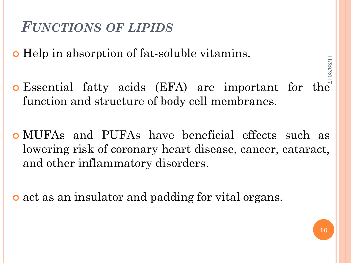## *FUNCTIONS OF LIPIDS*

Help in absorption of fat-soluble vitamins.

- Essential fatty acids (EFA) are important for the function and structure of body cell membranes. 11/29/2017
- MUFAs and PUFAs have beneficial effects such as lowering risk of coronary heart disease, cancer, cataract, and other inflammatory disorders.

o act as an insulator and padding for vital organs.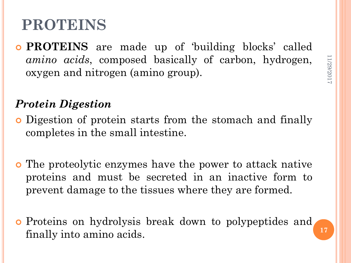# **PROTEINS**

 **PROTEINS** are made up of 'building blocks' called *amino acids*, composed basically of carbon, hydrogen, oxygen and nitrogen (amino group).

#### *Protein Digestion*

- Digestion of protein starts from the stomach and finally completes in the small intestine.
- The proteolytic enzymes have the power to attack native proteins and must be secreted in an inactive form to prevent damage to the tissues where they are formed.
- Proteins on hydrolysis break down to polypeptides and finally into amino acids.

**17**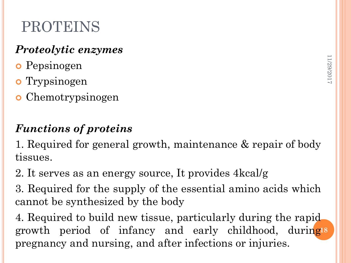# PROTEINS

#### *Proteolytic enzymes*

- o Pepsinogen
- **o** Trypsinogen
- **o** Chemotrypsinogen

## *Functions of proteins*

1. Required for general growth, maintenance & repair of body tissues.

2. It serves as an energy source, It provides 4kcal/g

3. Required for the supply of the essential amino acids which cannot be synthesized by the body

4. Required to build new tissue, particularly during the rapid growth period of infancy and early childhood, during<sup>18</sup> pregnancy and nursing, and after infections or injuries.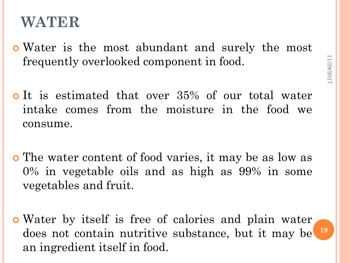## **WATER**

- Water is the most abundant and surely the most frequently overlooked component in food.
- It is estimated that over 35% of our total water intake comes from the moisture in the food we consume.
- The water content of food varies, it may be as low as 0% in vegetable oils and as high as 99% in some vegetables and fruit.
- Water by itself is free of calories and plain water does not contain nutritive substance, but it may be **19**an ingredient itself in food.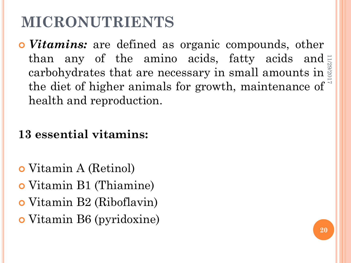# **MICRONUTRIENTS**

 *Vitamins:* are defined as organic compounds, other than any of the amino acids, fatty acids and carbohydrates that are necessary in small amounts in  $\ddot{\tilde{\mathcal{E}}}$ the diet of higher animals for growth, maintenance of health and reproduction. 11/29/2017

#### **13 essential vitamins:**

- Vitamin A (Retinol)
- Vitamin B1 (Thiamine)
- Vitamin B2 (Riboflavin)
- Vitamin B6 (pyridoxine)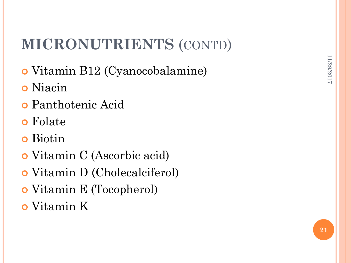# **MICRONUTRIENTS** (CONTD)

- Vitamin B12 (Cyanocobalamine)
- Niacin
- Panthotenic Acid
- Folate
- Biotin
- Vitamin C (Ascorbic acid)
- Vitamin D (Cholecalciferol)
- Vitamin E (Tocopherol)
- Vitamin K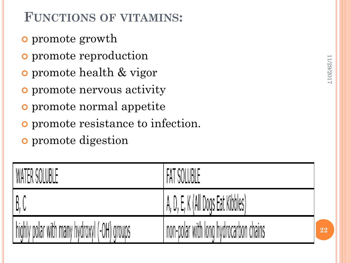## **FUNCTIONS OF VITAMINS:**

- promote growth
- **o** promote reproduction
- promote health & vigor
- promote nervous activity
- promote normal appetite
- promote resistance to infection.
- **o** promote digestion

| , WATER SOLUBLE                              | FAT SOLUBLE                            |
|----------------------------------------------|----------------------------------------|
| -B, C                                        | A, D, E, K (All Dogs Eat Kibbles)      |
| highly polar with many hydroxyl (-OH) groups | non-polar with long hydrocarbon chains |

**22**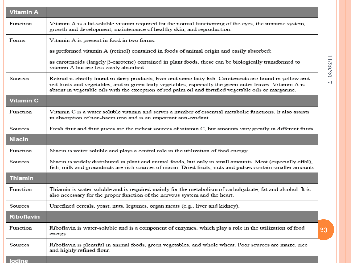| <b>Vitamin A</b>  |                                                                                                                                                                                                                                                                                                                                   |            |
|-------------------|-----------------------------------------------------------------------------------------------------------------------------------------------------------------------------------------------------------------------------------------------------------------------------------------------------------------------------------|------------|
| Function          | Vitamin A is a fat-soluble vitamin required for the normal functioning of the eyes, the immune system,<br>growth and development, maintenance of healthy skin, and reproduction.                                                                                                                                                  |            |
| Forms             | Vitamin A is present in food in two forms:                                                                                                                                                                                                                                                                                        |            |
|                   | as preformed vitamin A (retinol) contained in foods of animal origin and easily absorbed;                                                                                                                                                                                                                                         |            |
|                   | as carotenoids (largely $\beta$ -carotene) contained in plant foods, these can be biologically transformed to<br>vitamin A but are less easily absorbed                                                                                                                                                                           | 11/29/2017 |
| Sources           | Retinol is chiefly found in dairy products, liver and some fatty fish. Carotenoids are found in yellow and<br>red fruits and vegetables, and in green leafy vegetables, especially the green outer leaves. Vitamin A is<br>absent in vegetable oils with the exception of red palm oil and fortified vegetable oils or margarine. |            |
| <b>Vitamin C</b>  |                                                                                                                                                                                                                                                                                                                                   |            |
| Function          | Vitamin C is a water soluble vitamin and serves a number of essential metabolic functions. It also assists<br>in absorption of non-haem iron and is an important anti-oxidant.                                                                                                                                                    |            |
| Sources           | Fresh fruit and fruit juices are the richest sources of vitamin C, but amounts vary greatly in different fruits.                                                                                                                                                                                                                  |            |
| <b>Niacin</b>     |                                                                                                                                                                                                                                                                                                                                   |            |
| Function          | Niacin is water-soluble and plays a central role in the utilization of food energy.                                                                                                                                                                                                                                               |            |
| Sources           | Niacin is widely distributed in plant and animal foods, but only in small amounts. Meat (especially offal),<br>fish, milk and groundnuts are rich sources of niacin. Dried fruits, nuts and pulses contain smaller amounts.                                                                                                       |            |
| <b>Thiamin</b>    |                                                                                                                                                                                                                                                                                                                                   |            |
| Function          | Thiamin is water-soluble and is required mainly for the metabolism of carbohydrate, fat and alcohol. It is<br>also necessary for the proper function of the nervous system and the heart.                                                                                                                                         |            |
| Sources           | Unrefined cereals, yeast, nuts, legumes, organ meats (e.g., liver and kidney).                                                                                                                                                                                                                                                    |            |
| <b>Riboflavin</b> |                                                                                                                                                                                                                                                                                                                                   |            |
| Function          | Riboflavin is water-soluble and is a component of enzymes, which play a role in the utilization of food<br>energy.                                                                                                                                                                                                                | 23         |
| Sources           | Riboflavin is plentiful in animal foods, green vegetables, and whole wheat. Poor sources are maize, rice<br>and highly refined flour.                                                                                                                                                                                             |            |
| <b>Indine</b>     |                                                                                                                                                                                                                                                                                                                                   |            |

11/29/2017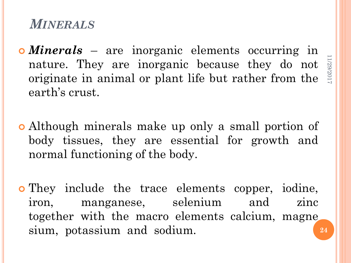#### *MINERALS*

- *Minerals* are inorganic elements occurring in nature. They are inorganic because they do not originate in animal or plant life but rather from the earth's crust.
- Although minerals make up only a small portion of body tissues, they are essential for growth and normal functioning of the body.
- They include the trace elements copper, iodine, iron, manganese, selenium and zinc together with the macro elements calcium, magne sium, potassium and sodium. **24**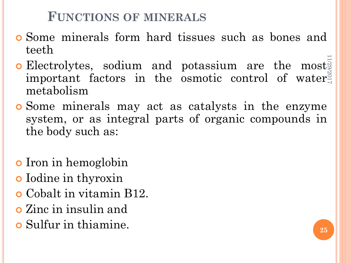#### **FUNCTIONS OF MINERALS**

- Some minerals form hard tissues such as bones and teeth
- **o** Electrolytes, sodium and potassium are the most important factors in the osmotic control of water metabolism 11/29/2017
- Some minerals may act as catalysts in the enzyme system, or as integral parts of organic compounds in the body such as:
- o Iron in hemoglobin
- o Iodine in thyroxin
- Cobalt in vitamin B12.
- Zinc in insulin and
- Sulfur in thiamine.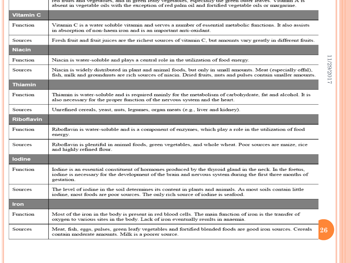|                  | red fituits and vegetables, and in green leafy vegetables, especially the green outer leaves. Vitamin A is<br>absent in vegetable oils with the exception of red palm oil and fortified vegetable oils or margarine.               |
|------------------|------------------------------------------------------------------------------------------------------------------------------------------------------------------------------------------------------------------------------------|
| <b>Vitamin C</b> |                                                                                                                                                                                                                                    |
| Function         | Vitamin C is a water soluble vitamin and serves a number of essential metabolic functions. It also assists<br>in absorption of non-haem iron and is an important anti-oxidant.                                                     |
| <b>Sources</b>   | Fresh fruit and fruit juices are the richest sources of vitamin C, but amounts vary greatly in different fruits.                                                                                                                   |
| <b>Niacin</b>    |                                                                                                                                                                                                                                    |
| Function         | Niacin is water-soluble and plays a central role in the utilization of food energy.                                                                                                                                                |
| Sources          | Niacin is widely distributed in plant and animal foods, but only in small amounts. Meat (especially offal),<br>fish, milk and groundnuts are rich sources of niacin. Dried fruits, nuts and pulses contain smaller amounts.        |
| <b>Thiamin</b>   |                                                                                                                                                                                                                                    |
| Function         | Thiamin is water-soluble and is required mainly for the metabolism of carbohydrate, fat and alcohol. It is<br>also necessary for the proper function of the nervous system and the heart.                                          |
| Sources          | Unrefined cereals, yeast, nuts, legumes, organ meats (e.g., liver and kidney).                                                                                                                                                     |
| Riboflavin       |                                                                                                                                                                                                                                    |
| Function         | Riboflavin is water-soluble and is a component of enzymes, which play a role in the utilization of food<br>energy.                                                                                                                 |
| <b>Sources</b>   | Riboflavin is plentiful in animal foods, green vegetables, and whole wheat. Poor sources are maize, rice<br>and highly refined flour.                                                                                              |
| lodine           |                                                                                                                                                                                                                                    |
| Function         | Iodine is an essential constituent of hormones produced by the thyroid gland in the neck. In the foetus,<br>iodine is necessary for the development of the brain and nervous system during the first three months of<br>gestation. |
| Sources          | The level of iodine in the soil determines its content in plants and animals. As most soils contain little<br>iodine, most foods are poor sources. The only rich source of iodine is seafood.                                      |
| <b>Iron</b>      |                                                                                                                                                                                                                                    |
| Function         | Most of the iron in the body is present in red blood cells. The main function of iron is the transfer of<br>oxygen to various sites in the body. Lack of iron eventually results in anaemia.                                       |
| Sources          | Meat, fish, eggs, pulses, green leafy vegetables and fortified blended foods are good iron sources. Cereals<br>contain moderate amounts. Milk is a poorer source.                                                                  |

11/29/2017 11/29/2017

**26**